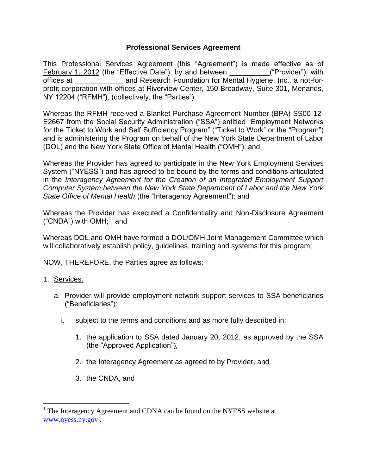## **Professional Services Agreement**

This Professional Services Agreement (this "Agreement") is made effective as of February 1, 2012 (the "Effective Date"), by and between \_\_\_\_\_\_\_\_\_\_("Provider"), with offices at \_\_\_\_\_\_\_\_\_\_\_\_\_\_\_\_ and Research Foundation for Mental Hygiene, Inc., a not-forprofit corporation with offices at Riverview Center, 150 Broadway, Suite 301, Menands, NY 12204 ("RFMH"), (collectively, the "Parties").

Whereas the RFMH received a Blanket Purchase Agreement Number (BPA) SS00-12- E2667 from the Social Security Administration ("SSA") entitled "Employment Networks for the Ticket to Work and Self Sufficiency Program" ("Ticket to Work" or the "Program") and is administering the Program on behalf of the New York State Department of Labor (DOL) and the New York State Office of Mental Health ("OMH"); and

Whereas the Provider has agreed to participate in the New York Employment Services System ("NYESS") and has agreed to be bound by the terms and conditions articulated in the *Interagency Agreement for the Creation of an Integrated Employment Support Computer System between the New York State Department of Labor and the New York State Office of Mental Health* (the "Interagency Agreement"); and

Whereas the Provider has executed a Confidentiality and Non-Disclosure Agreement ("CNDA") with  $OMH$ <sup>1</sup> and

Whereas DOL and OMH have formed a DOL/OMH Joint Management Committee which will collaboratively establish policy, guidelines, training and systems for this program;

NOW, THEREFORE, the Parties agree as follows:

## 1. Services.

 $\overline{a}$ 

- a. Provider will provide employment network support services to SSA beneficiaries ("Beneficiaries"):
	- i. subject to the terms and conditions and as more fully described in:
		- 1. the application to SSA dated January 20, 2012, as approved by the SSA (the "Approved Application"),
		- 2. the Interagency Agreement as agreed to by Provider, and
		- 3. the CNDA, and

<sup>&</sup>lt;sup>1</sup> The Interagency Agreement and CDNA can be found on the NYESS website at [www.nyess.ny.gov](http://www.nyess.ny.gov/) .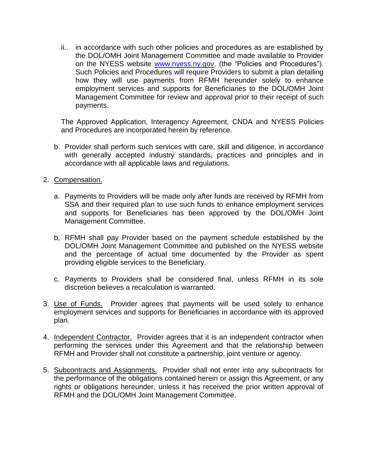ii.. in accordance with such other policies and procedures as are established by the DOL/OMH Joint Management Committee and made available to Provider on the NYESS website [www.nyess.ny.gov.](http://www.nyess.ny.gov/) (the "Policies and Procedures"). Such Policies and Procedures will require Providers to submit a plan detailing how they will use payments from RFMH hereunder solely to enhance employment services and supports for Beneficiaries to the DOL/OMH Joint Management Committee for review and approval prior to their receipt of such payments.

The Approved Application, Interagency Agreement, CNDA and NYESS Policies and Procedures are incorporated herein by reference.

- b. Provider shall perform such services with care, skill and diligence, in accordance with generally accepted industry standards, practices and principles and in accordance with all applicable laws and regulations.
- 2. Compensation.
	- a. Payments to Providers will be made only after funds are received by RFMH from SSA and their required plan to use such funds to enhance employment services and supports for Beneficiaries has been approved by the DOL/OMH Joint Management Committee.
	- b, RFMH shall pay Provider based on the payment schedule established by the DOL/OMH Joint Management Committee and published on the NYESS website and the percentage of actual time documented by the Provider as spent providing eligible services to the Beneficiary.
	- c. Payments to Providers shall be considered final, unless RFMH in its sole discretion believes a recalculation is warranted.
- 3. Use of Funds. Provider agrees that payments will be used solely to enhance employment services and supports for Beneficiaries in accordance with its approved plan.
- 4. Independent Contractor. Provider agrees that it is an independent contractor when performing the services under this Agreement and that the relationship between RFMH and Provider shall not constitute a partnership, joint venture or agency.
- 5. Subcontracts and Assignments. Provider shall not enter into any subcontracts for the performance of the obligations contained herein or assign this Agreement, or any rights or obligations hereunder, unless it has received the prior written approval of RFMH and the DOL/OMH Joint Management Committee.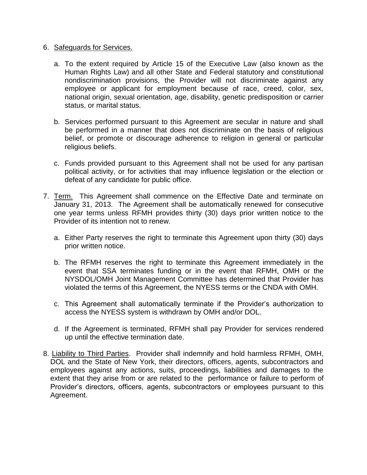## 6. Safeguards for Services.

- a. To the extent required by Article 15 of the Executive Law (also known as the Human Rights Law) and all other State and Federal statutory and constitutional nondiscrimination provisions, the Provider will not discriminate against any employee or applicant for employment because of race, creed, color, sex, national origin, sexual orientation, age, disability, genetic predisposition or carrier status, or marital status.
- b. Services performed pursuant to this Agreement are secular in nature and shall be performed in a manner that does not discriminate on the basis of religious belief, or promote or discourage adherence to religion in general or particular religious beliefs.
- c. Funds provided pursuant to this Agreement shall not be used for any partisan political activity, or for activities that may influence legislation or the election or defeat of any candidate for public office.
- 7. Term. This Agreement shall commence on the Effective Date and terminate on January 31, 2013. The Agreement shall be automatically renewed for consecutive one year terms unless RFMH provides thirty (30) days prior written notice to the Provider of its intention not to renew.
	- a. Either Party reserves the right to terminate this Agreement upon thirty (30) days prior written notice.
	- b. The RFMH reserves the right to terminate this Agreement immediately in the event that SSA terminates funding or in the event that RFMH, OMH or the NYSDOL/OMH Joint Management Committee has determined that Provider has violated the terms of this Agreement, the NYESS terms or the CNDA with OMH.
	- c. This Agreement shall automatically terminate if the Provider's authorization to access the NYESS system is withdrawn by OMH and/or DOL.
	- d. If the Agreement is terminated, RFMH shall pay Provider for services rendered up until the effective termination date.
- 8. Liability to Third Parties. Provider shall indemnify and hold harmless RFMH, OMH, DOL and the State of New York, their directors, officers, agents, subcontractors and employees against any actions, suits, proceedings, liabilities and damages to the extent that they arise from or are related to the performance or failure to perform of Provider's directors, officers, agents, subcontractors or employees pursuant to this Agreement.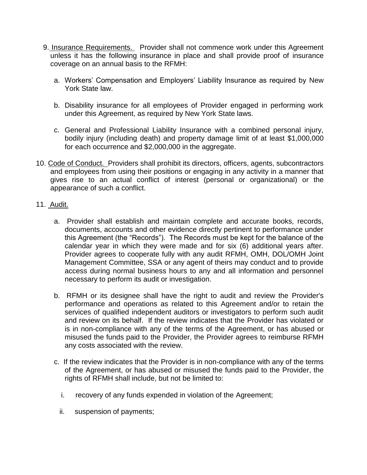- 9. Insurance Requirements. Provider shall not commence work under this Agreement unless it has the following insurance in place and shall provide proof of insurance coverage on an annual basis to the RFMH:
	- a. Workers' Compensation and Employers' Liability Insurance as required by New York State law.
	- b. Disability insurance for all employees of Provider engaged in performing work under this Agreement, as required by New York State laws.
	- c. General and Professional Liability Insurance with a combined personal injury, bodily injury (including death) and property damage limit of at least \$1,000,000 for each occurrence and \$2,000,000 in the aggregate.
- 10. Code of Conduct. Providers shall prohibit its directors, officers, agents, subcontractors and employees from using their positions or engaging in any activity in a manner that gives rise to an actual conflict of interest (personal or organizational) or the appearance of such a conflict.
- 11. Audit.
	- a. Provider shall establish and maintain complete and accurate books, records, documents, accounts and other evidence directly pertinent to performance under this Agreement (the "Records"). The Records must be kept for the balance of the calendar year in which they were made and for six (6) additional years after. Provider agrees to cooperate fully with any audit RFMH, OMH, DOL/OMH Joint Management Committee, SSA or any agent of theirs may conduct and to provide access during normal business hours to any and all information and personnel necessary to perform its audit or investigation.
	- b. RFMH or its designee shall have the right to audit and review the Provider's performance and operations as related to this Agreement and/or to retain the services of qualified independent auditors or investigators to perform such audit and review on its behalf. If the review indicates that the Provider has violated or is in non-compliance with any of the terms of the Agreement, or has abused or misused the funds paid to the Provider, the Provider agrees to reimburse RFMH any costs associated with the review.
	- c. If the review indicates that the Provider is in non-compliance with any of the terms of the Agreement, or has abused or misused the funds paid to the Provider, the rights of RFMH shall include, but not be limited to:
		- i. recovery of any funds expended in violation of the Agreement;
		- ii. suspension of payments;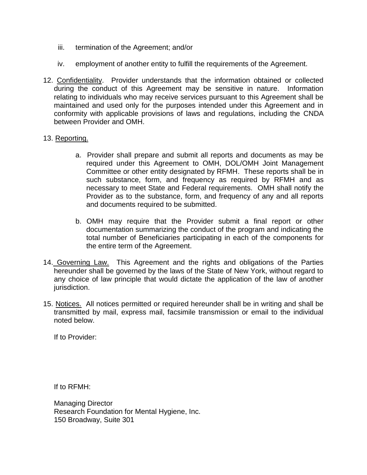- iii. termination of the Agreement; and/or
- iv. employment of another entity to fulfill the requirements of the Agreement.
- 12. Confidentiality. Provider understands that the information obtained or collected during the conduct of this Agreement may be sensitive in nature. Information relating to individuals who may receive services pursuant to this Agreement shall be maintained and used only for the purposes intended under this Agreement and in conformity with applicable provisions of laws and regulations, including the CNDA between Provider and OMH.

## 13. Reporting.

- a. Provider shall prepare and submit all reports and documents as may be required under this Agreement to OMH, DOL/OMH Joint Management Committee or other entity designated by RFMH. These reports shall be in such substance, form, and frequency as required by RFMH and as necessary to meet State and Federal requirements. OMH shall notify the Provider as to the substance, form, and frequency of any and all reports and documents required to be submitted.
- b. OMH may require that the Provider submit a final report or other documentation summarizing the conduct of the program and indicating the total number of Beneficiaries participating in each of the components for the entire term of the Agreement.
- 14. Governing Law. This Agreement and the rights and obligations of the Parties hereunder shall be governed by the laws of the State of New York, without regard to any choice of law principle that would dictate the application of the law of another jurisdiction.
- 15. Notices. All notices permitted or required hereunder shall be in writing and shall be transmitted by mail, express mail, facsimile transmission or email to the individual noted below.

If to Provider:

If to RFMH:

Managing Director Research Foundation for Mental Hygiene, Inc. 150 Broadway, Suite 301